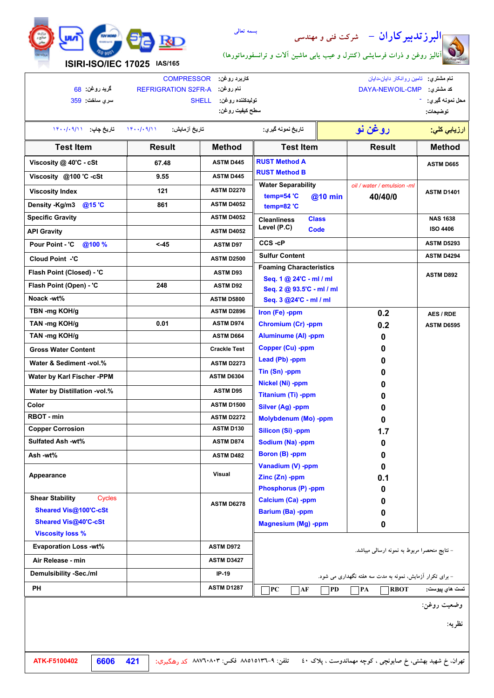



**نام مشتري:** تامین روانکار دایان-دایان

**توضیحات:** - **محل نمونھ گیري:** DAYA-NEWOIL-CMP **:مشتري كد سطح کیفیت روغن: تولیدکننده روغن:** SHELL **نام روغن:** A-FR2S REFRIGRATION **گرید روغن:** 68 **ارزیابي کلي: روغن نو تاریخ نمونھ گیري: تاریخ آزمایش:** ١۴٠٠/٠٩/١١ **تاریخ چاپ:** ١۴٠٠/٠٩/١١ **Viscosity @ 40'C - cSt Viscosity @100 'C -cSt Viscosity Index Density -Kg/m3 @15 'C Specific Gravity Pour Point - 'C @100 % Flash Point (Closed) - 'C TBN -mg KOH/g TAN -mg KOH/g ASTM D445 ASTM D445 ASTM D2270 ASTM D4052 ASTM D4052 ASTM D97 ASTM D93 ASTM D2896 0.01 ASTM D974 <-45 861 121 9.55 67.48 Test Item Result Method RBOT - min Cloud Point -'C ASTM D2272 ASTM D130 Copper Corrosion ASTM D2500 TAN -mg KOH/g ASTM D664 Color ASTM D1500 Cleanliness Level (P.C) Class NAS 1638 Code ISO 4406 PC AF PD PA RBOT Appearance Visual Iron (Fe) -ppm Chromium (Cr) -ppm 0.2 0.2 ASTM D6595 Aluminume (Al) -ppm Copper (Cu) -ppm 0 0 Lead (Pb) -ppm 0 Molybdenum (Mo) -ppm Silver (Ag) -ppm Titanium (Ti) -ppm Nickel (Ni) -ppm Tin (Sn) -ppm 0 0 0 0 0 Barium (Ba) -ppm Calcium (Ca) -ppm Phosphorus (P) -ppm Zinc (Zn) -ppm Vanadium (V) -ppm Boron (B) -ppm Sodium (Na) -ppm Silicon (Si) -ppm 1.7 0 0 0 0.1 0 0 0 Magnesium (Mg) -ppm 0 Test Item Result Method API Gravity** *API Gravity* **ASTM D4052 Flash Point (Open) - 'C 248 ASTM D92 Noack -wt%** <br>**ASTM D5800 Gross Water Content Water & Sediment -vol.% Water by Karl Fischer -PPM Water by Distillation -vol.% Crackle Test ASTM D2273 ASTM D6304 ASTM D95 Sulfated Ash -wt% Ash -wt% ASTM D874 ASTM D482 RUST Method A RUST Method B ASTM D665** Water Separability **Water / emulsion** -ml **temp=54 'C temp=82 'C @10 min 40/40/0 ASTM D1401 Demulsibility -Sec./ml IP-19 ASTM D6278 Viscosity loss % Sheared Vis@100'C-cSt Shear Stability Sheared Vis@40'C-cSt Air Release - min ASTM D3427**  $\Box$  **PD Foaming Characteristics Seq. 1 @ 24'C - ml / ml Seq. 2 @ 93.5'C - ml / ml Seq. 3 @24'C - ml / ml ASTM D892 AES / RDE - نتایج منحصرا مربوط به نمونه ارسالی میباشد. تست ھاي پیوست:** Cycles **CCS -cP ASTM D5293 Sulfur Content ASTM D4294 - براي تکرار آزمایش، نمونه به مدت سه هفته نگهداري می شود. Evaporation Loss -wt% PH ASTM D1287 سري ساخت:** 359

**کاربرد روغن:** COMPRESSOR

- **وضعیت روغن:**
	- **نظریه:**